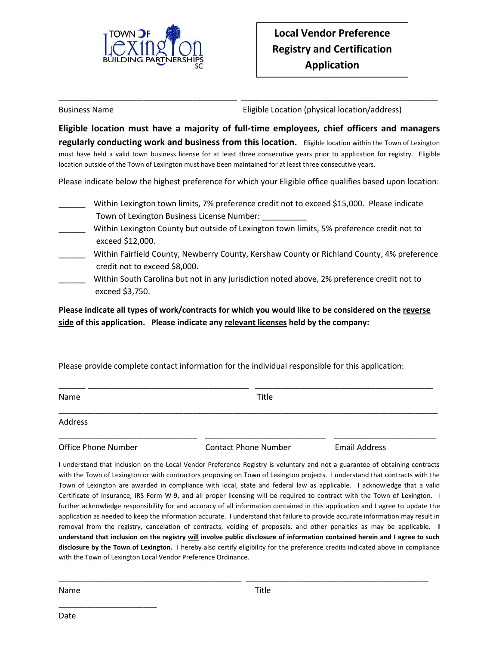

Business Name Eligible Location (physical location/address)

**Eligible location must have a majority of full-time employees, chief officers and managers regularly conducting work and business from this location.** Eligible location within the Town of Lexington must have held a valid town business license for at least three consecutive years prior to application for registry. Eligible location outside of the Town of Lexington must have been maintained for at least three consecutive years.

\_\_\_\_\_\_\_\_\_\_\_\_\_\_\_\_\_\_\_\_\_\_\_\_\_\_\_\_\_\_\_\_\_\_\_\_\_\_\_\_ \_\_\_\_\_\_\_\_\_\_\_\_\_\_\_\_\_\_\_\_\_\_\_\_\_\_\_\_\_\_\_\_\_\_\_\_\_\_\_\_\_\_\_\_

Please indicate below the highest preference for which your Eligible office qualifies based upon location:

- Within Lexington town limits, 7% preference credit not to exceed \$15,000. Please indicate Town of Lexington Business License Number:
- Within Lexington County but outside of Lexington town limits, 5% preference credit not to exceed \$12,000.
- Within Fairfield County, Newberry County, Kershaw County or Richland County, 4% preference credit not to exceed \$8,000.
	- Within South Carolina but not in any jurisdiction noted above, 2% preference credit not to exceed \$3,750.

**Please indicate all types of work/contracts for which you would like to be considered on the reverse side of this application. Please indicate any relevant licenses held by the company:**

Please provide complete contact information for the individual responsible for this application:

| Name                       | Title                       |                      |  |  |
|----------------------------|-----------------------------|----------------------|--|--|
| Address                    |                             |                      |  |  |
| <b>Office Phone Number</b> | <b>Contact Phone Number</b> | <b>Email Address</b> |  |  |

I understand that inclusion on the Local Vendor Preference Registry is voluntary and not a guarantee of obtaining contracts with the Town of Lexington or with contractors proposing on Town of Lexington projects. I understand that contracts with the Town of Lexington are awarded in compliance with local, state and federal law as applicable. I acknowledge that a valid Certificate of Insurance, IRS Form W-9, and all proper licensing will be required to contract with the Town of Lexington. I further acknowledge responsibility for and accuracy of all information contained in this application and I agree to update the application as needed to keep the information accurate. I understand that failure to provide accurate information may result in removal from the registry, cancelation of contracts, voiding of proposals, and other penalties as may be applicable. **I understand that inclusion on the registry will involve public disclosure of information contained herein and I agree to such disclosure by the Town of Lexington.** I hereby also certify eligibility for the preference credits indicated above in compliance with the Town of Lexington Local Vendor Preference Ordinance.

\_\_\_\_\_\_\_\_\_\_\_\_\_\_\_\_\_\_\_\_\_\_\_\_\_\_\_\_\_\_\_\_\_\_\_\_\_\_\_\_\_ \_\_\_\_\_\_\_\_\_\_\_\_\_\_\_\_\_\_\_\_\_\_\_\_\_\_\_\_\_\_\_\_\_\_\_\_\_\_\_\_\_

Name **Name** Title

\_\_\_\_\_\_\_\_\_\_\_\_\_\_\_\_\_\_\_\_\_\_